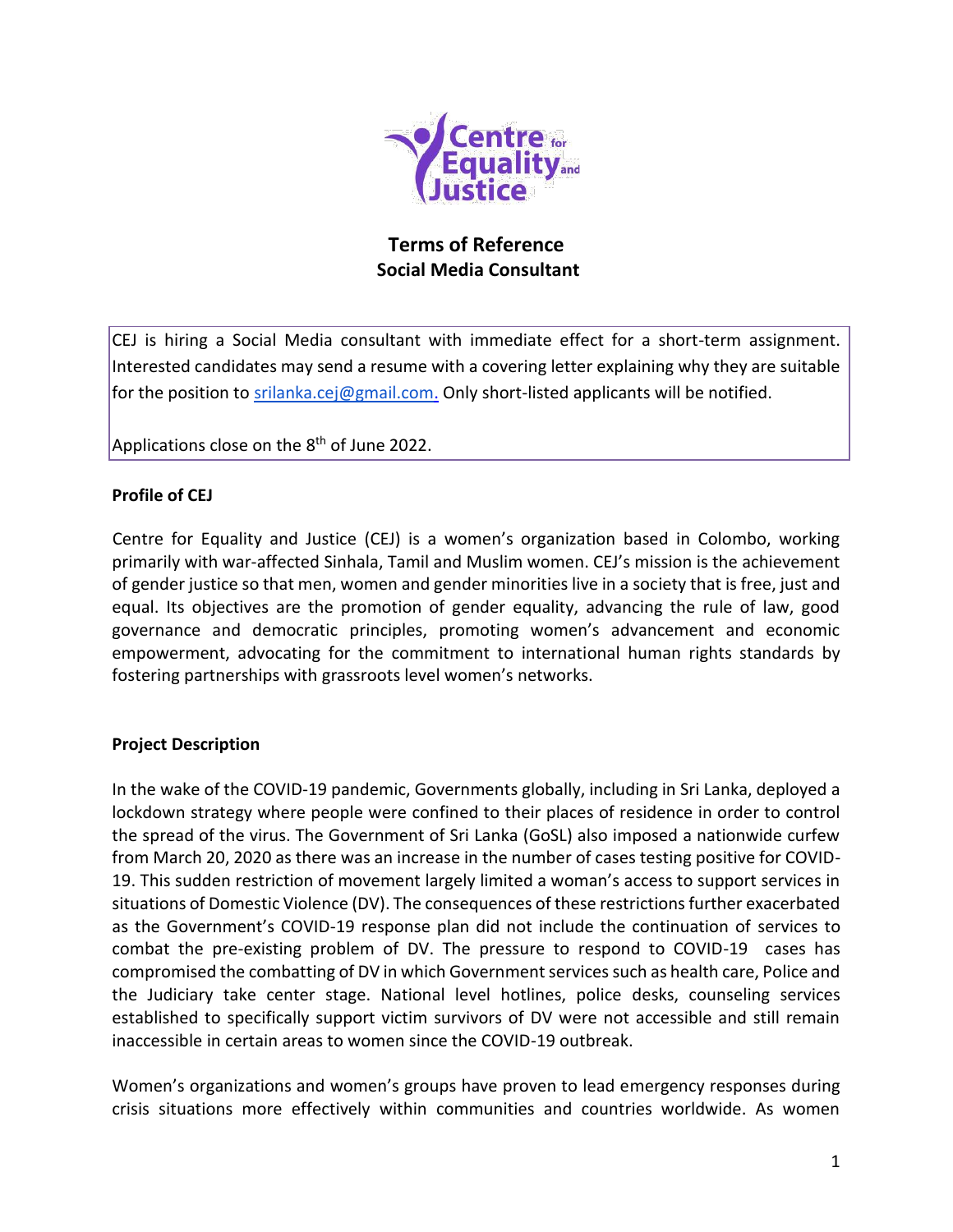

# **Terms of Reference Social Media Consultant**

CEJ is hiring a Social Media consultant with immediate effect for a short-term assignment. Interested candidates may send a resume with a covering letter explaining why they are suitable for the position to [srilanka.cej@gmail.com.](mailto:srilanka.cej@gmail.com) Only short-listed applicants will be notified.

Applications close on the 8<sup>th</sup> of June 2022.

#### **Profile of CEJ**

Centre for Equality and Justice (CEJ) is a women's organization based in Colombo, working primarily with war-affected Sinhala, Tamil and Muslim women. CEJ's mission is the achievement of gender justice so that men, women and gender minorities live in a society that is free, just and equal. Its objectives are the promotion of gender equality, advancing the rule of law, good governance and democratic principles, promoting women's advancement and economic empowerment, advocating for the commitment to international human rights standards by fostering partnerships with grassroots level women's networks.

#### **Project Description**

In the wake of the COVID-19 pandemic, Governments globally, including in Sri Lanka, deployed a lockdown strategy where people were confined to their places of residence in order to control the spread of the virus. The Government of Sri Lanka (GoSL) also imposed a nationwide curfew from March 20, 2020 as there was an increase in the number of cases testing positive for COVID-19. This sudden restriction of movement largely limited a woman's access to support services in situations of Domestic Violence (DV). The consequences of these restrictions further exacerbated as the Government's COVID-19 response plan did not include the continuation of services to combat the pre-existing problem of DV. The pressure to respond to COVID-19 cases has compromised the combatting of DV in which Government services such as health care, Police and the Judiciary take center stage. National level hotlines, police desks, counseling services established to specifically support victim survivors of DV were not accessible and still remain inaccessible in certain areas to women since the COVID-19 outbreak.

Women's organizations and women's groups have proven to lead emergency responses during crisis situations more effectively within communities and countries worldwide. As women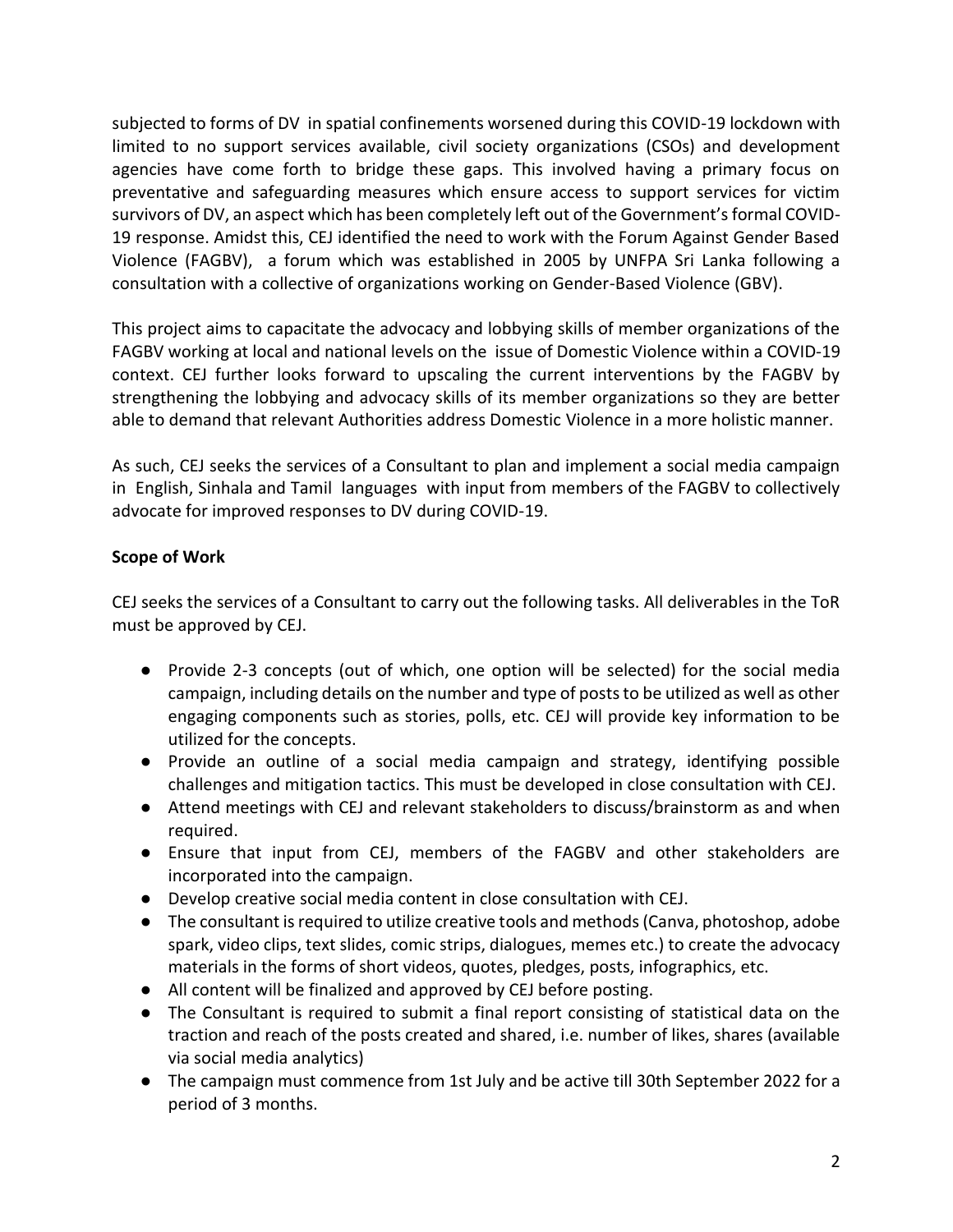subjected to forms of DV in spatial confinements worsened during this COVID-19 lockdown with limited to no support services available, civil society organizations (CSOs) and development agencies have come forth to bridge these gaps. This involved having a primary focus on preventative and safeguarding measures which ensure access to support services for victim survivors of DV, an aspect which has been completely left out of the Government's formal COVID-19 response. Amidst this, CEJ identified the need to work with the Forum Against Gender Based Violence (FAGBV), a forum which was established in 2005 by UNFPA Sri Lanka following a consultation with a collective of organizations working on Gender-Based Violence (GBV).

This project aims to capacitate the advocacy and lobbying skills of member organizations of the FAGBV working at local and national levels on the issue of Domestic Violence within a COVID-19 context. CEJ further looks forward to upscaling the current interventions by the FAGBV by strengthening the lobbying and advocacy skills of its member organizations so they are better able to demand that relevant Authorities address Domestic Violence in a more holistic manner.

As such, CEJ seeks the services of a Consultant to plan and implement a social media campaign in English, Sinhala and Tamil languages with input from members of the FAGBV to collectively advocate for improved responses to DV during COVID-19.

# **Scope of Work**

CEJ seeks the services of a Consultant to carry out the following tasks. All deliverables in the ToR must be approved by CEJ.

- Provide 2-3 concepts (out of which, one option will be selected) for the social media campaign, including details on the number and type of posts to be utilized as well as other engaging components such as stories, polls, etc. CEJ will provide key information to be utilized for the concepts.
- Provide an outline of a social media campaign and strategy, identifying possible challenges and mitigation tactics. This must be developed in close consultation with CEJ.
- Attend meetings with CEJ and relevant stakeholders to discuss/brainstorm as and when required.
- Ensure that input from CEJ, members of the FAGBV and other stakeholders are incorporated into the campaign.
- Develop creative social media content in close consultation with CEJ.
- The consultant is required to utilize creative tools and methods (Canva, photoshop, adobe spark, video clips, text slides, comic strips, dialogues, memes etc.) to create the advocacy materials in the forms of short videos, quotes, pledges, posts, infographics, etc.
- All content will be finalized and approved by CEJ before posting.
- The Consultant is required to submit a final report consisting of statistical data on the traction and reach of the posts created and shared, i.e. number of likes, shares (available via social media analytics)
- The campaign must commence from 1st July and be active till 30th September 2022 for a period of 3 months.